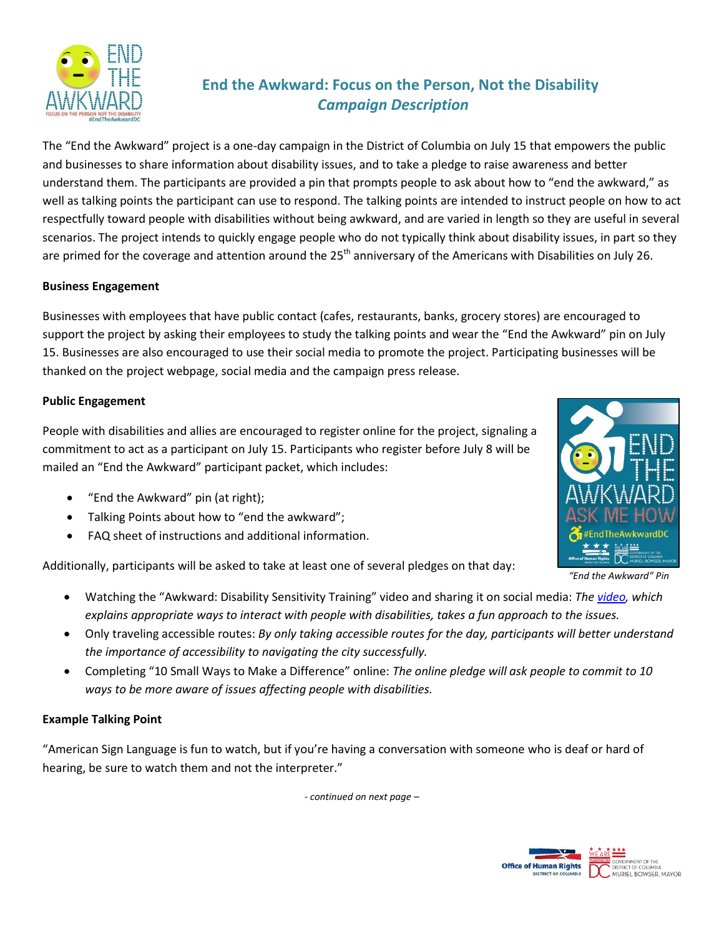

# **End the Awkward: Focus on the Person, Not the Disability** *Campaign Description*

The "End the Awkward" project is a one-day campaign in the District of Columbia on July 15 that empowers the public and businesses to share information about disability issues, and to take a pledge to raise awareness and better understand them. The participants are provided a pin that prompts people to ask about how to "end the awkward," as well as talking points the participant can use to respond. The talking points are intended to instruct people on how to act respectfully toward people with disabilities without being awkward, and are varied in length so they are useful in several scenarios. The project intends to quickly engage people who do not typically think about disability issues, in part so they are primed for the coverage and attention around the  $25<sup>th</sup>$  anniversary of the Americans with Disabilities on July 26.

# **Business Engagement**

Businesses with employees that have public contact (cafes, restaurants, banks, grocery stores) are encouraged to support the project by asking their employees to study the talking points and wear the "End the Awkward" pin on July 15. Businesses are also encouraged to use their social media to promote the project. Participating businesses will be thanked on the project webpage, social media and the campaign press release.

#### **Public Engagement**

People with disabilities and allies are encouraged to register online for the project, signaling a commitment to act as a participant on July 15. Participants who register before July 8 will be mailed an "End the Awkward" participant packet, which includes:

- "End the Awkward" pin (at right);
- Talking Points about how to "end the awkward";
- FAQ sheet of instructions and additional information.

Additionally, participants will be asked to take at least one of several pledges on that day:

- Watching the "Awkward: Disability Sensitivity Training" video and sharing it on social media: *The [video,](https://www.youtube.com/watch?list=PLbFKGFkIKL21ureNznAlzeQmeB4zECsOc&v=Gv1aDEFlXq8) which explains appropriate ways to interact with people with disabilities, takes a fun approach to the issues.*
- Only traveling accessible routes: *By only taking accessible routes for the day, participants will better understand the importance of accessibility to navigating the city successfully.*
- Completing "10 Small Ways to Make a Difference" online: *The online pledge will ask people to commit to 10 ways to be more aware of issues affecting people with disabilities.*

#### **Example Talking Point**

"American Sign Language is fun to watch, but if you're having a conversation with someone who is deaf or hard of hearing, be sure to watch them and not the interpreter."

*- continued on next page –*



*"End the Awkward" Pin*